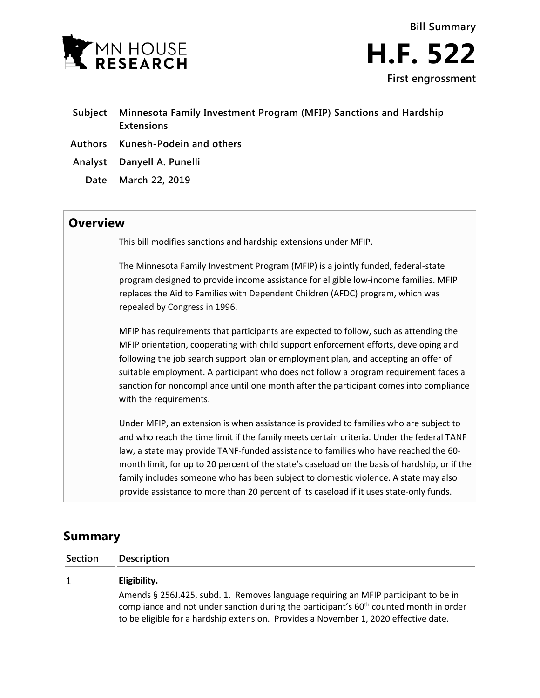

**Subject Minnesota Family Investment Program (MFIP) Sanctions and Hardship Extensions Authors Kunesh-Podein and others Analyst Danyell A. Punelli Date March 22, 2019**

## **Overview**

This bill modifies sanctions and hardship extensions under MFIP.

The Minnesota Family Investment Program (MFIP) is a jointly funded, federal-state program designed to provide income assistance for eligible low-income families. MFIP replaces the Aid to Families with Dependent Children (AFDC) program, which was repealed by Congress in 1996.

MFIP has requirements that participants are expected to follow, such as attending the MFIP orientation, cooperating with child support enforcement efforts, developing and following the job search support plan or employment plan, and accepting an offer of suitable employment. A participant who does not follow a program requirement faces a sanction for noncompliance until one month after the participant comes into compliance with the requirements.

Under MFIP, an extension is when assistance is provided to families who are subject to and who reach the time limit if the family meets certain criteria. Under the federal TANF law, a state may provide TANF-funded assistance to families who have reached the 60 month limit, for up to 20 percent of the state's caseload on the basis of hardship, or if the family includes someone who has been subject to domestic violence. A state may also provide assistance to more than 20 percent of its caseload if it uses state-only funds.

# **Summary**

**Section Description**

#### $\mathbf{1}$ **Eligibility.**

Amends § 256J.425, subd. 1. Removes language requiring an MFIP participant to be in compliance and not under sanction during the participant's  $60<sup>th</sup>$  counted month in order to be eligible for a hardship extension. Provides a November 1, 2020 effective date.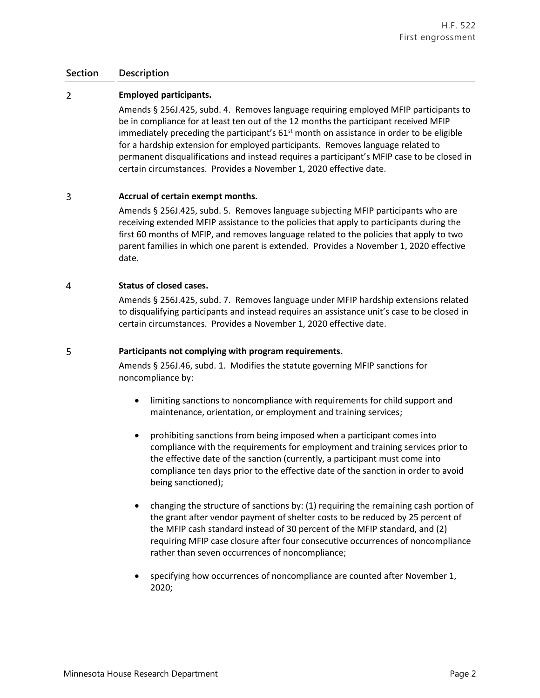### **Section Description**

#### $\overline{2}$ **Employed participants.**

Amends § 256J.425, subd. 4. Removes language requiring employed MFIP participants to be in compliance for at least ten out of the 12 months the participant received MFIP immediately preceding the participant's  $61<sup>st</sup>$  month on assistance in order to be eligible for a hardship extension for employed participants. Removes language related to permanent disqualifications and instead requires a participant's MFIP case to be closed in certain circumstances. Provides a November 1, 2020 effective date.

#### 3 **Accrual of certain exempt months.**

Amends § 256J.425, subd. 5. Removes language subjecting MFIP participants who are receiving extended MFIP assistance to the policies that apply to participants during the first 60 months of MFIP, and removes language related to the policies that apply to two parent families in which one parent is extended. Provides a November 1, 2020 effective date.

#### $\overline{4}$ **Status of closed cases.**

Amends § 256J.425, subd. 7. Removes language under MFIP hardship extensions related to disqualifying participants and instead requires an assistance unit's case to be closed in certain circumstances. Provides a November 1, 2020 effective date.

#### 5 **Participants not complying with program requirements.**

Amends § 256J.46, subd. 1. Modifies the statute governing MFIP sanctions for noncompliance by:

- limiting sanctions to noncompliance with requirements for child support and maintenance, orientation, or employment and training services;
- prohibiting sanctions from being imposed when a participant comes into compliance with the requirements for employment and training services prior to the effective date of the sanction (currently, a participant must come into compliance ten days prior to the effective date of the sanction in order to avoid being sanctioned);
- changing the structure of sanctions by: (1) requiring the remaining cash portion of the grant after vendor payment of shelter costs to be reduced by 25 percent of the MFIP cash standard instead of 30 percent of the MFIP standard, and (2) requiring MFIP case closure after four consecutive occurrences of noncompliance rather than seven occurrences of noncompliance;
- specifying how occurrences of noncompliance are counted after November 1, 2020;